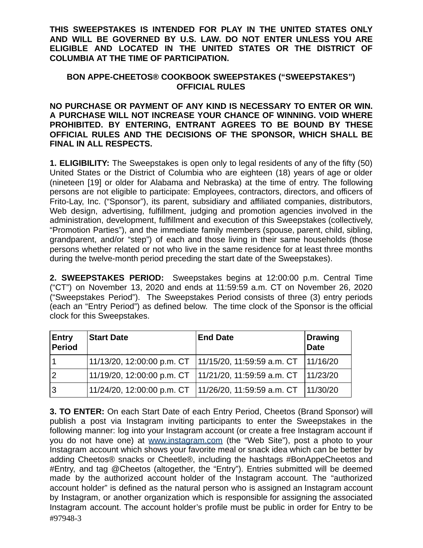**THIS SWEEPSTAKES IS INTENDED FOR PLAY IN THE UNITED STATES ONLY AND WILL BE GOVERNED BY U.S. LAW. DO NOT ENTER UNLESS YOU ARE ELIGIBLE AND LOCATED IN THE UNITED STATES OR THE DISTRICT OF COLUMBIA AT THE TIME OF PARTICIPATION.** 

## **BON APPE-CHEETOS® COOKBOOK SWEEPSTAKES ("SWEEPSTAKES") OFFICIAL RULES**

**NO PURCHASE OR PAYMENT OF ANY KIND IS NECESSARY TO ENTER OR WIN. A PURCHASE WILL NOT INCREASE YOUR CHANCE OF WINNING. VOID WHERE PROHIBITED. BY ENTERING, ENTRANT AGREES TO BE BOUND BY THESE OFFICIAL RULES AND THE DECISIONS OF THE SPONSOR, WHICH SHALL BE FINAL IN ALL RESPECTS.** 

**1. ELIGIBILITY:** The Sweepstakes is open only to legal residents of any of the fifty (50) United States or the District of Columbia who are eighteen (18) years of age or older (nineteen [19] or older for Alabama and Nebraska) at the time of entry. The following persons are not eligible to participate: Employees, contractors, directors, and officers of Frito-Lay, Inc. ("Sponsor"), its parent, subsidiary and affiliated companies, distributors, Web design, advertising, fulfillment, judging and promotion agencies involved in the administration, development, fulfillment and execution of this Sweepstakes (collectively, "Promotion Parties"), and the immediate family members (spouse, parent, child, sibling, grandparent, and/or "step") of each and those living in their same households (those persons whether related or not who live in the same residence for at least three months during the twelve-month period preceding the start date of the Sweepstakes).

**2. SWEEPSTAKES PERIOD:** Sweepstakes begins at 12:00:00 p.m. Central Time ("CT") on November 13, 2020 and ends at 11:59:59 a.m. CT on November 26, 2020 ("Sweepstakes Period"). The Sweepstakes Period consists of three (3) entry periods (each an "Entry Period") as defined below. The time clock of the Sponsor is the official clock for this Sweepstakes.

| <b>Entry</b><br>Period | <b>Start Date</b> | <b>End Date</b>                                                  | <b>Drawing</b><br><b>Date</b> |
|------------------------|-------------------|------------------------------------------------------------------|-------------------------------|
|                        |                   | 11/13/20, 12:00:00 p.m. CT  11/15/20, 11:59:59 a.m. CT  11/16/20 |                               |
| $\overline{2}$         |                   | 11/19/20, 12:00:00 p.m. CT  11/21/20, 11:59:59 a.m. CT  11/23/20 |                               |
| Ι3                     |                   | 11/24/20, 12:00:00 p.m. CT  11/26/20, 11:59:59 a.m. CT  11/30/20 |                               |

**3. TO ENTER:** On each Start Date of each Entry Period, Cheetos (Brand Sponsor) will publish a post via Instagram inviting participants to enter the Sweepstakes in the following manner: log into your Instagram account (or create a free Instagram account if you do not have one) at [www.instagram.com](http://www.instagram.com/) (the "Web Site"), post a photo to your Instagram account which shows your favorite meal or snack idea which can be better by adding Cheetos® snacks or Cheetle®, including the hashtags #BonAppeCheetos and #Entry, and tag @Cheetos (altogether, the "Entry"). Entries submitted will be deemed made by the authorized account holder of the Instagram account. The "authorized account holder" is defined as the natural person who is assigned an Instagram account by Instagram, or another organization which is responsible for assigning the associated Instagram account. The account holder's profile must be public in order for Entry to be #97948-3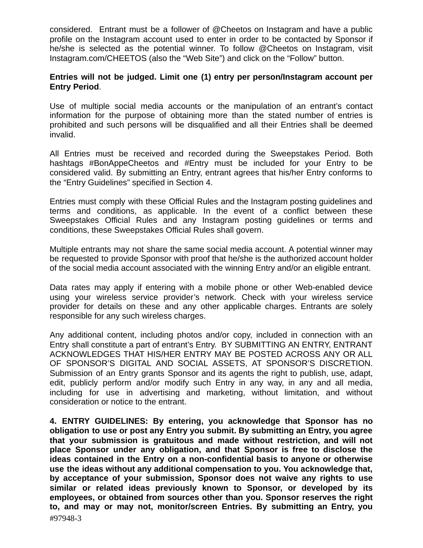considered. Entrant must be a follower of @Cheetos on Instagram and have a public profile on the Instagram account used to enter in order to be contacted by Sponsor if he/she is selected as the potential winner. To follow @Cheetos on Instagram, visit Instagram.com/CHEETOS (also the "Web Site") and click on the "Follow" button.

## **Entries will not be judged. Limit one (1) entry per person/Instagram account per Entry Period** .

Use of multiple social media accounts or the manipulation of an entrant's contact information for the purpose of obtaining more than the stated number of entries is prohibited and such persons will be disqualified and all their Entries shall be deemed invalid.

All Entries must be received and recorded during the Sweepstakes Period. Both hashtags #BonAppeCheetos and #Entry must be included for your Entry to be considered valid. By submitting an Entry, entrant agrees that his/her Entry conforms to the "Entry Guidelines" specified in Section 4.

Entries must comply with these Official Rules and the Instagram posting guidelines and terms and conditions, as applicable. In the event of a conflict between these Sweepstakes Official Rules and any Instagram posting guidelines or terms and conditions, these Sweepstakes Official Rules shall govern.

Multiple entrants may not share the same social media account. A potential winner may be requested to provide Sponsor with proof that he/she is the authorized account holder of the social media account associated with the winning Entry and/or an eligible entrant.

Data rates may apply if entering with a mobile phone or other Web-enabled device using your wireless service provider's network. Check with your wireless service provider for details on these and any other applicable charges. Entrants are solely responsible for any such wireless charges.

Any additional content, including photos and/or copy, included in connection with an Entry shall constitute a part of entrant's Entry. BY SUBMITTING AN ENTRY, ENTRANT ACKNOWLEDGES THAT HIS/HER ENTRY MAY BE POSTED ACROSS ANY OR ALL OF SPONSOR'S DIGITAL AND SOCIAL ASSETS, AT SPONSOR'S DISCRETION. Submission of an Entry grants Sponsor and its agents the right to publish, use, adapt, edit, publicly perform and/or modify such Entry in any way, in any and all media, including for use in advertising and marketing, without limitation, and without consideration or notice to the entrant.

**4. ENTRY GUIDELINES: By entering, you acknowledge that Sponsor has no obligation to use or post any Entry you submit. By submitting an Entry, you agree that your submission is gratuitous and made without restriction, and will not place Sponsor under any obligation, and that Sponsor is free to disclose the ideas contained in the Entry on a non-confidential basis to anyone or otherwise use the ideas without any additional compensation to you. You acknowledge that, by acceptance of your submission, Sponsor does not waive any rights to use similar or related ideas previously known to Sponsor, or developed by its employees, or obtained from sources other than you. Sponsor reserves the right to, and may or may not, monitor/screen Entries. By submitting an Entry, you**  #97948-3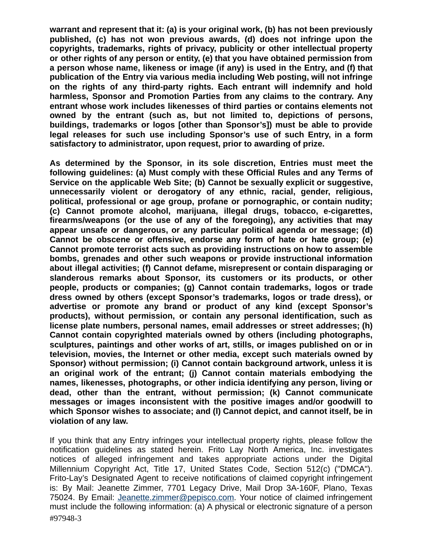**warrant and represent that it: (a) is your original work, (b) has not been previously published, (c) has not won previous awards, (d) does not infringe upon the copyrights, trademarks, rights of privacy, publicity or other intellectual property or other rights of any person or entity, (e) that you have obtained permission from a person whose name, likeness or image (if any) is used in the Entry, and (f) that publication of the Entry via various media including Web posting, will not infringe on the rights of any third-party rights. Each entrant will indemnify and hold harmless, Sponsor and Promotion Parties from any claims to the contrary. Any entrant whose work includes likenesses of third parties or contains elements not owned by the entrant (such as, but not limited to, depictions of persons, buildings, trademarks or logos [other than Sponsor's]) must be able to provide legal releases for such use including Sponsor's use of such Entry, in a form satisfactory to administrator, upon request, prior to awarding of prize.** 

**As determined by the Sponsor, in its sole discretion, Entries must meet the following guidelines: (a) Must comply with these Official Rules and any Terms of Service on the applicable Web Site; (b) Cannot be sexually explicit or suggestive, unnecessarily violent or derogatory of any ethnic, racial, gender, religious, political, professional or age group, profane or pornographic, or contain nudity; (c) Cannot promote alcohol, marijuana, illegal drugs, tobacco, e-cigarettes, firearms/weapons (or the use of any of the foregoing), any activities that may appear unsafe or dangerous, or any particular political agenda or message; (d) Cannot be obscene or offensive, endorse any form of hate or hate group; (e) Cannot promote terrorist acts such as providing instructions on how to assemble bombs, grenades and other such weapons or provide instructional information about illegal activities; (f) Cannot defame, misrepresent or contain disparaging or slanderous remarks about Sponsor, its customers or its products, or other people, products or companies; (g) Cannot contain trademarks, logos or trade dress owned by others (except Sponsor's trademarks, logos or trade dress), or advertise or promote any brand or product of any kind (except Sponsor's products), without permission, or contain any personal identification, such as license plate numbers, personal names, email addresses or street addresses; (h) Cannot contain copyrighted materials owned by others (including photographs, sculptures, paintings and other works of art, stills, or images published on or in television, movies, the Internet or other media, except such materials owned by Sponsor) without permission; (i) Cannot contain background artwork, unless it is an original work of the entrant; (j) Cannot contain materials embodying the names, likenesses, photographs, or other indicia identifying any person, living or dead, other than the entrant, without permission; (k) Cannot communicate messages or images inconsistent with the positive images and/or goodwill to which Sponsor wishes to associate; and (l) Cannot depict, and cannot itself, be in violation of any law.** 

If you think that any Entry infringes your intellectual property rights, please follow the notification guidelines as stated herein. Frito Lay North America, Inc. investigates notices of alleged infringement and takes appropriate actions under the Digital Millennium Copyright Act, Title 17, United States Code, Section 512(c) ("DMCA"). Frito-Lay's Designated Agent to receive notifications of claimed copyright infringement is: By Mail: Jeanette Zimmer, 7701 Legacy Drive, Mail Drop 3A-160F, Plano, Texas 75024. By Email: [Jeanette.zimmer@pepisco.com .](mailto:Jeanette.zimmer@pepisco.com) Your notice of claimed infringement must include the following information: (a) A physical or electronic signature of a person #97948-3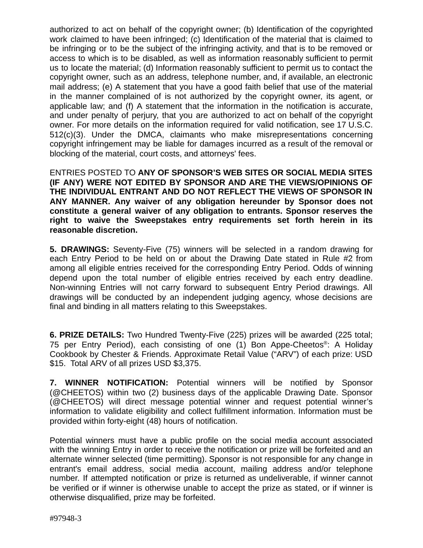authorized to act on behalf of the copyright owner; (b) Identification of the copyrighted work claimed to have been infringed; (c) Identification of the material that is claimed to be infringing or to be the subject of the infringing activity, and that is to be removed or access to which is to be disabled, as well as information reasonably sufficient to permit us to locate the material; (d) Information reasonably sufficient to permit us to contact the copyright owner, such as an address, telephone number, and, if available, an electronic mail address; (e) A statement that you have a good faith belief that use of the material in the manner complained of is not authorized by the copyright owner, its agent, or applicable law; and (f) A statement that the information in the notification is accurate, and under penalty of perjury, that you are authorized to act on behalf of the copyright owner. For more details on the information required for valid notification, see 17 U.S.C. 512(c)(3). Under the DMCA, claimants who make misrepresentations concerning copyright infringement may be liable for damages incurred as a result of the removal or blocking of the material, court costs, and attorneys' fees.

ENTRIES POSTED TO **ANY OF SPONSOR'S WEB SITES OR SOCIAL MEDIA SITES (IF ANY) WERE NOT EDITED BY SPONSOR AND ARE THE VIEWS/OPINIONS OF THE INDIVIDUAL ENTRANT AND DO NOT REFLECT THE VIEWS OF SPONSOR IN ANY MANNER. Any waiver of any obligation hereunder by Sponsor does not constitute a general waiver of any obligation to entrants. Sponsor reserves the right to waive the Sweepstakes entry requirements set forth herein in its reasonable discretion.** 

**5. DRAWINGS:** Seventy-Five (75) winners will be selected in a random drawing for each Entry Period to be held on or about the Drawing Date stated in Rule #2 from among all eligible entries received for the corresponding Entry Period. Odds of winning depend upon the total number of eligible entries received by each entry deadline. Non-winning Entries will not carry forward to subsequent Entry Period drawings. All drawings will be conducted by an independent judging agency, whose decisions are final and binding in all matters relating to this Sweepstakes.

**6. PRIZE DETAILS:** Two Hundred Twenty-Five (225) prizes will be awarded (225 total; 75 per Entry Period), each consisting of one (1) Bon Appe-Cheetos<sup>®</sup>: A Holiday Cookbook by Chester & Friends. Approximate Retail Value ("ARV") of each prize: USD \$15. Total ARV of all prizes USD \$3,375.

**7. WINNER NOTIFICATION:** Potential winners will be notified by Sponsor (@CHEETOS) within two (2) business days of the applicable Drawing Date. Sponsor (@CHEETOS) will direct message potential winner and request potential winner's information to validate eligibility and collect fulfillment information. Information must be provided within forty-eight (48) hours of notification.

Potential winners must have a public profile on the social media account associated with the winning Entry in order to receive the notification or prize will be forfeited and an alternate winner selected (time permitting). Sponsor is not responsible for any change in entrant's email address, social media account, mailing address and/or telephone number. If attempted notification or prize is returned as undeliverable, if winner cannot be verified or if winner is otherwise unable to accept the prize as stated, or if winner is otherwise disqualified, prize may be forfeited.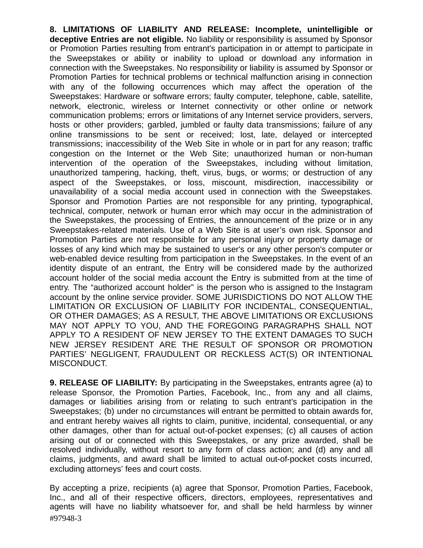**8. LIMITATIONS OF LIABILITY AND RELEASE: Incomplete, unintelligible or deceptive Entries are not eligible.** No liability or responsibility is assumed by Sponsor or Promotion Parties resulting from entrant's participation in or attempt to participate in the Sweepstakes or ability or inability to upload or download any information in connection with the Sweepstakes. No responsibility or liability is assumed by Sponsor or Promotion Parties for technical problems or technical malfunction arising in connection with any of the following occurrences which may affect the operation of the Sweepstakes: Hardware or software errors; faulty computer, telephone, cable, satellite, network, electronic, wireless or Internet connectivity or other online or network communication problems; errors or limitations of any Internet service providers, servers, hosts or other providers; garbled, jumbled or faulty data transmissions; failure of any online transmissions to be sent or received; lost, late, delayed or intercepted transmissions; inaccessibility of the Web Site in whole or in part for any reason; traffic congestion on the Internet or the Web Site; unauthorized human or non-human intervention of the operation of the Sweepstakes, including without limitation, unauthorized tampering, hacking, theft, virus, bugs, or worms; or destruction of any aspect of the Sweepstakes, or loss, miscount, misdirection, inaccessibility or unavailability of a social media account used in connection with the Sweepstakes. Sponsor and Promotion Parties are not responsible for any printing, typographical, technical, computer, network or human error which may occur in the administration of the Sweepstakes, the processing of Entries, the announcement of the prize or in any Sweepstakes-related materials. Use of a Web Site is at user's own risk. Sponsor and Promotion Parties are not responsible for any personal injury or property damage or losses of any kind which may be sustained to user's or any other person's computer or web-enabled device resulting from participation in the Sweepstakes. In the event of an identity dispute of an entrant, the Entry will be considered made by the authorized account holder of the social media account the Entry is submitted from at the time of entry. The "authorized account holder" is the person who is assigned to the Instagram account by the online service provider. SOME JURISDICTIONS DO NOT ALLOW THE LIMITATION OR EXCLUSION OF LIABILITY FOR INCIDENTAL, CONSEQUENTIAL, OR OTHER DAMAGES; AS A RESULT, THE ABOVE LIMITATIONS OR EXCLUSIONS MAY NOT APPLY TO YOU, AND THE FOREGOING PARAGRAPHS SHALL NOT APPLY TO A RESIDENT OF NEW JERSEY TO THE EXTENT DAMAGES TO SUCH NEW JERSEY RESIDENT ARE THE RESULT OF SPONSOR OR PROMOTION PARTIES' NEGLIGENT, FRAUDULENT OR RECKLESS ACT(S) OR INTENTIONAL MISCONDUCT.

**9. RELEASE OF LIABILITY:** By participating in the Sweepstakes, entrants agree (a) to release Sponsor, the Promotion Parties, Facebook, Inc., from any and all claims, damages or liabilities arising from or relating to such entrant's participation in the Sweepstakes; (b) under no circumstances will entrant be permitted to obtain awards for, and entrant hereby waives all rights to claim, punitive, incidental, consequential, or any other damages, other than for actual out-of-pocket expenses; (c) all causes of action arising out of or connected with this Sweepstakes, or any prize awarded, shall be resolved individually, without resort to any form of class action; and (d) any and all claims, judgments, and award shall be limited to actual out-of-pocket costs incurred, excluding attorneys' fees and court costs.

By accepting a prize, recipients (a) agree that Sponsor, Promotion Parties, Facebook, Inc., and all of their respective officers, directors, employees, representatives and agents will have no liability whatsoever for, and shall be held harmless by winner #97948-3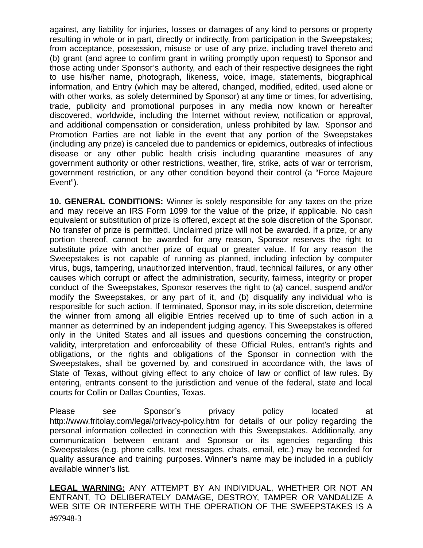against, any liability for injuries, losses or damages of any kind to persons or property resulting in whole or in part, directly or indirectly, from participation in the Sweepstakes; from acceptance, possession, misuse or use of any prize, including travel thereto and (b) grant (and agree to confirm grant in writing promptly upon request) to Sponsor and those acting under Sponsor's authority, and each of their respective designees the right to use his/her name, photograph, likeness, voice, image, statements, biographical information, and Entry (which may be altered, changed, modified, edited, used alone or with other works, as solely determined by Sponsor) at any time or times, for advertising, trade, publicity and promotional purposes in any media now known or hereafter discovered, worldwide, including the Internet without review, notification or approval, and additional compensation or consideration, unless prohibited by law. Sponsor and Promotion Parties are not liable in the event that any portion of the Sweepstakes (including any prize) is canceled due to pandemics or epidemics, outbreaks of infectious disease or any other public health crisis including quarantine measures of any government authority or other restrictions, weather, fire, strike, acts of war or terrorism, government restriction, or any other condition beyond their control (a "Force Majeure Event").

**10. GENERAL CONDITIONS:** Winner is solely responsible for any taxes on the prize and may receive an IRS Form 1099 for the value of the prize, if applicable. No cash equivalent or substitution of prize is offered, except at the sole discretion of the Sponsor. No transfer of prize is permitted. Unclaimed prize will not be awarded. If a prize, or any portion thereof, cannot be awarded for any reason, Sponsor reserves the right to substitute prize with another prize of equal or greater value. If for any reason the Sweepstakes is not capable of running as planned, including infection by computer virus, bugs, tampering, unauthorized intervention, fraud, technical failures, or any other causes which corrupt or affect the administration, security, fairness, integrity or proper conduct of the Sweepstakes, Sponsor reserves the right to (a) cancel, suspend and/or modify the Sweepstakes, or any part of it, and (b) disqualify any individual who is responsible for such action. If terminated, Sponsor may, in its sole discretion, determine the winner from among all eligible Entries received up to time of such action in a manner as determined by an independent judging agency. This Sweepstakes is offered only in the United States and all issues and questions concerning the construction, validity, interpretation and enforceability of these Official Rules, entrant's rights and obligations, or the rights and obligations of the Sponsor in connection with the Sweepstakes, shall be governed by, and construed in accordance with, the laws of State of Texas, without giving effect to any choice of law or conflict of law rules. By entering, entrants consent to the jurisdiction and venue of the federal, state and local courts for Collin or Dallas Counties, Texas.

Please see Sponsor's privacy policy located at http://www.fritolay.com/legal/privacy-policy.htm for details of our policy regarding the personal information collected in connection with this Sweepstakes. Additionally, any communication between entrant and Sponsor or its agencies regarding this Sweepstakes (e.g. phone calls, text messages, chats, email, etc.) may be recorded for quality assurance and training purposes. Winner's name may be included in a publicly available winner's list.

**LEGAL WARNING:** ANY ATTEMPT BY AN INDIVIDUAL, WHETHER OR NOT AN ENTRANT, TO DELIBERATELY DAMAGE, DESTROY, TAMPER OR VANDALIZE A WEB SITE OR INTERFERE WITH THE OPERATION OF THE SWEEPSTAKES IS A #97948-3